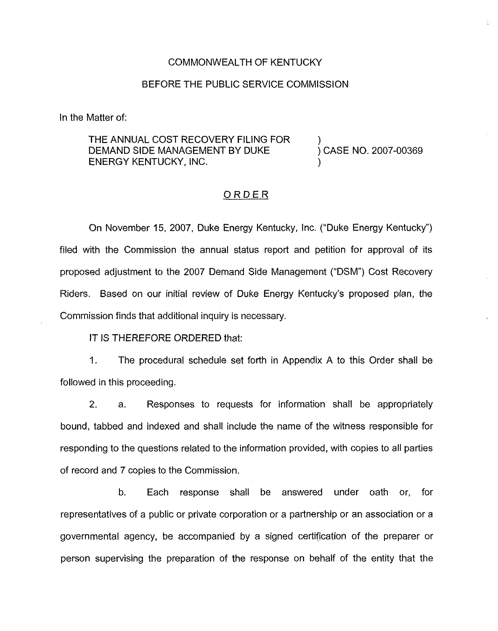#### COMMONWEALTH OF KENTUCKY

### BEFORE THE PUBLIC SERVICE COMMISSION

In the Matter of:

THE ANNUAL COST RECOVERY FILING FOR DEMAND SIDE MANAGEMENT BY DUKE ENERGY KENTUCKY, INC.

) ) CASE NO. 2007-00369 )

té.

### ORDER

On November 15, 2007, Duke Energy Kentucky, Inc. ("Duke Energy Kentucky" ) filed with the Commission the annual status report and petition for approval of its proposed adjustment to the 2007 Demand Side Management ("DSM") Cost Recovery Riders. Based on our initial review of Duke Energy Kentucky's proposed plan, the Commission finds that additional inquiry is necessary.

IT IS THEREFORE ORDERED that:

1. The procedural schedule set forth in Appendix <sup>A</sup> to this Order shall be followed in this proceeding.

2. a. Responses to requests for information shall be appropriately bound, tabbed and indexed and shall include the name of the witness responsible for responding to the questions related to the information provided, with copies to all parties of record and 7 copies to the Commission.

b. Each response shall be answered under oath or, for representatives of a public or private corporation or a partnership or an association or a governmental agency, be accompanied by a signed certification of the preparer or person supervising the preparation of the response on behalf of the entity that the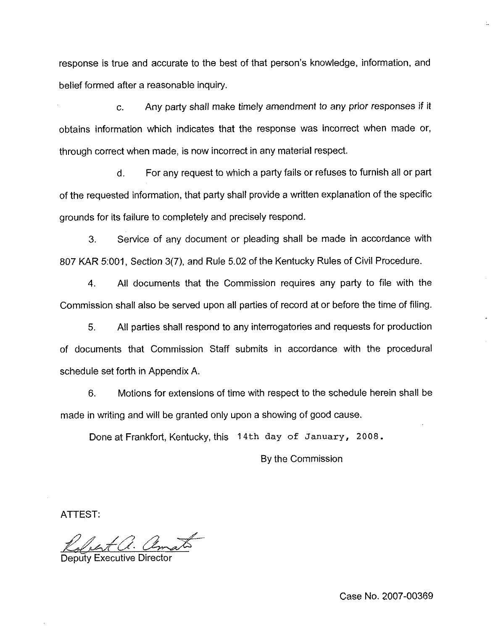response is true and accurate to the best of that person's knowledge, information, and belief formed after a reasonable inquiry.

c. Any party shall make timely amendment to any prior responses if it obtains information which indicates that the response was incorrect when made or, through correct when made, is now incorrect in any material respect.

d. For any request to which a party fails or refuses to furnish all or part of the requested information, that party shall provide a written explanation of the specific grounds for its failure to completely and precisely respond.

3. Service of any document or pleading shall be made in accordance with 807 KAR 5:001, Section 3(7), and Rule 5.02 of the Kentucky Rules of Civil Procedure.

4. Ail documents that the Commission requires any party to file with the Commission shall also be served upon all parties of record at or before the time of filing.

5. All parties shall respond to any interrogatories and requests for production of documents that Commission Staff submits in accordance with the procedural schedule set forth in Appendix A.

6, Motions for extensions of time with respect to the schedule herein shall be made in writing and will be granted only upon a showing of good cause.

Done at Frankfort, Kentucky, this 14th day of January, 2008.

By the Commission

ATTEST;

E.a. amat

Deputy Executive Director

Case No. 2007-00369